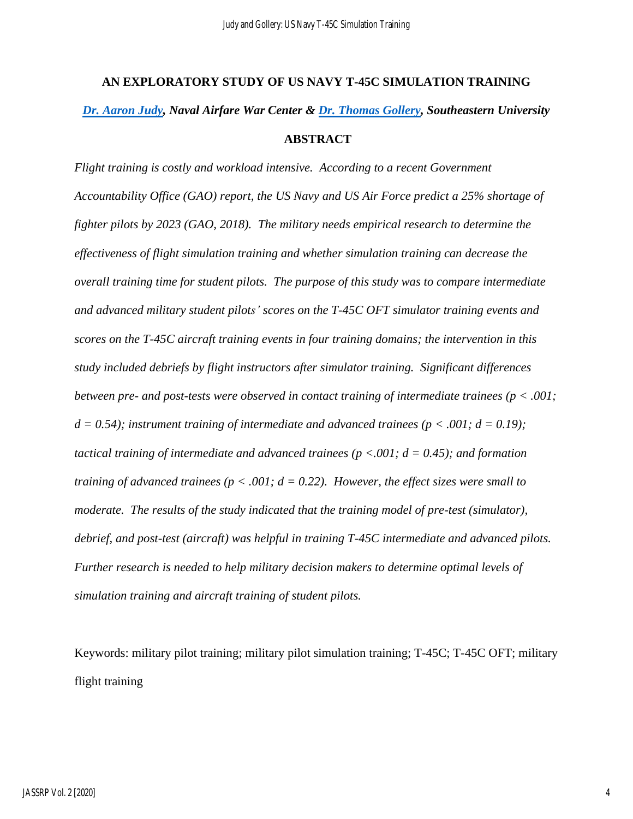# **AN EXPLORATORY STUDY OF US NAVY T-45C SIMULATION TRAINING** *[Dr. Aaron Judy,](mailto:adjudy@seu.edu) Naval Airfare War Center & [Dr. Thomas Gollery,](mailto:tjgollery@seu.edu) Southeastern University* **ABSTRACT**

*Flight training is costly and workload intensive. According to a recent Government Accountability Office (GAO) report, the US Navy and US Air Force predict a 25% shortage of fighter pilots by 2023 (GAO, 2018). The military needs empirical research to determine the effectiveness of flight simulation training and whether simulation training can decrease the overall training time for student pilots. The purpose of this study was to compare intermediate and advanced military student pilots' scores on the T-45C OFT simulator training events and scores on the T-45C aircraft training events in four training domains; the intervention in this study included debriefs by flight instructors after simulator training. Significant differences between pre- and post-tests were observed in contact training of intermediate trainees (p < .001;*   $d = 0.54$ ; *instrument training of intermediate and advanced trainees* ( $p < .001$ ;  $d = 0.19$ ); *tactical training of intermediate and advanced trainees (p <.001; d = 0.45); and formation training of advanced trainees (p < .001; d = 0.22). However, the effect sizes were small to moderate. The results of the study indicated that the training model of pre-test (simulator), debrief, and post-test (aircraft) was helpful in training T-45C intermediate and advanced pilots. Further research is needed to help military decision makers to determine optimal levels of simulation training and aircraft training of student pilots.* 

Keywords: military pilot training; military pilot simulation training; T-45C; T-45C OFT; military flight training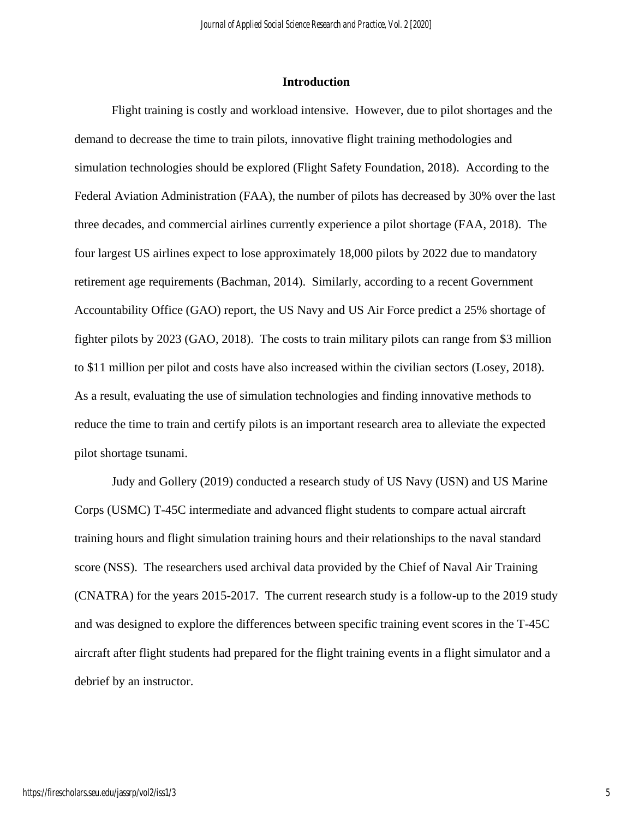#### **Introduction**

Flight training is costly and workload intensive. However, due to pilot shortages and the demand to decrease the time to train pilots, innovative flight training methodologies and simulation technologies should be explored (Flight Safety Foundation, 2018). According to the Federal Aviation Administration (FAA), the number of pilots has decreased by 30% over the last three decades, and commercial airlines currently experience a pilot shortage (FAA, 2018). The four largest US airlines expect to lose approximately 18,000 pilots by 2022 due to mandatory retirement age requirements (Bachman, 2014). Similarly, according to a recent Government Accountability Office (GAO) report, the US Navy and US Air Force predict a 25% shortage of fighter pilots by 2023 (GAO, 2018). The costs to train military pilots can range from \$3 million to \$11 million per pilot and costs have also increased within the civilian sectors (Losey, 2018). As a result, evaluating the use of simulation technologies and finding innovative methods to reduce the time to train and certify pilots is an important research area to alleviate the expected pilot shortage tsunami.

Judy and Gollery (2019) conducted a research study of US Navy (USN) and US Marine Corps (USMC) T-45C intermediate and advanced flight students to compare actual aircraft training hours and flight simulation training hours and their relationships to the naval standard score (NSS). The researchers used archival data provided by the Chief of Naval Air Training (CNATRA) for the years 2015-2017. The current research study is a follow-up to the 2019 study and was designed to explore the differences between specific training event scores in the T-45C aircraft after flight students had prepared for the flight training events in a flight simulator and a debrief by an instructor.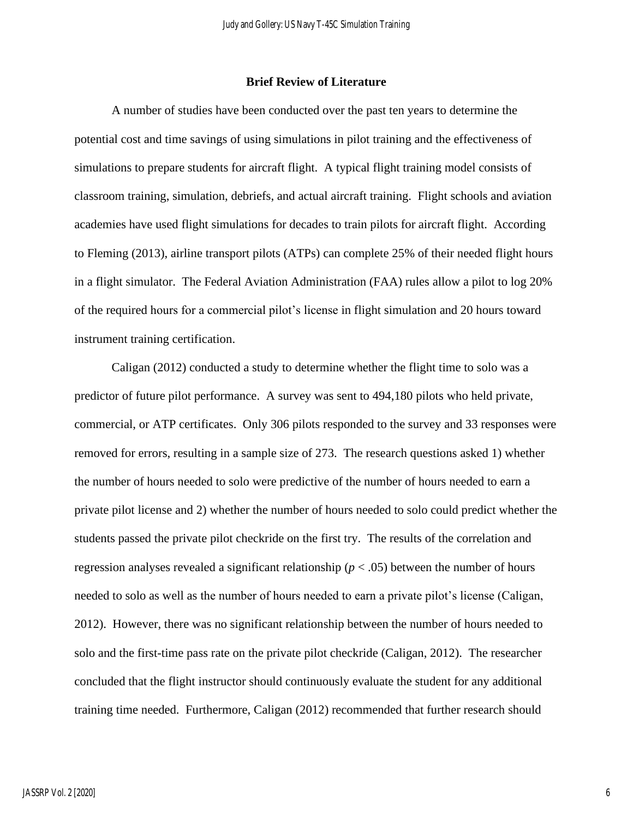#### **Brief Review of Literature**

A number of studies have been conducted over the past ten years to determine the potential cost and time savings of using simulations in pilot training and the effectiveness of simulations to prepare students for aircraft flight. A typical flight training model consists of classroom training, simulation, debriefs, and actual aircraft training. Flight schools and aviation academies have used flight simulations for decades to train pilots for aircraft flight. According to Fleming (2013), airline transport pilots (ATPs) can complete 25% of their needed flight hours in a flight simulator. The Federal Aviation Administration (FAA) rules allow a pilot to log 20% of the required hours for a commercial pilot's license in flight simulation and 20 hours toward instrument training certification.

Caligan (2012) conducted a study to determine whether the flight time to solo was a predictor of future pilot performance. A survey was sent to 494,180 pilots who held private, commercial, or ATP certificates. Only 306 pilots responded to the survey and 33 responses were removed for errors, resulting in a sample size of 273. The research questions asked 1) whether the number of hours needed to solo were predictive of the number of hours needed to earn a private pilot license and 2) whether the number of hours needed to solo could predict whether the students passed the private pilot checkride on the first try. The results of the correlation and regression analyses revealed a significant relationship ( $p < .05$ ) between the number of hours needed to solo as well as the number of hours needed to earn a private pilot's license (Caligan, 2012). However, there was no significant relationship between the number of hours needed to solo and the first-time pass rate on the private pilot checkride (Caligan, 2012). The researcher concluded that the flight instructor should continuously evaluate the student for any additional training time needed. Furthermore, Caligan (2012) recommended that further research should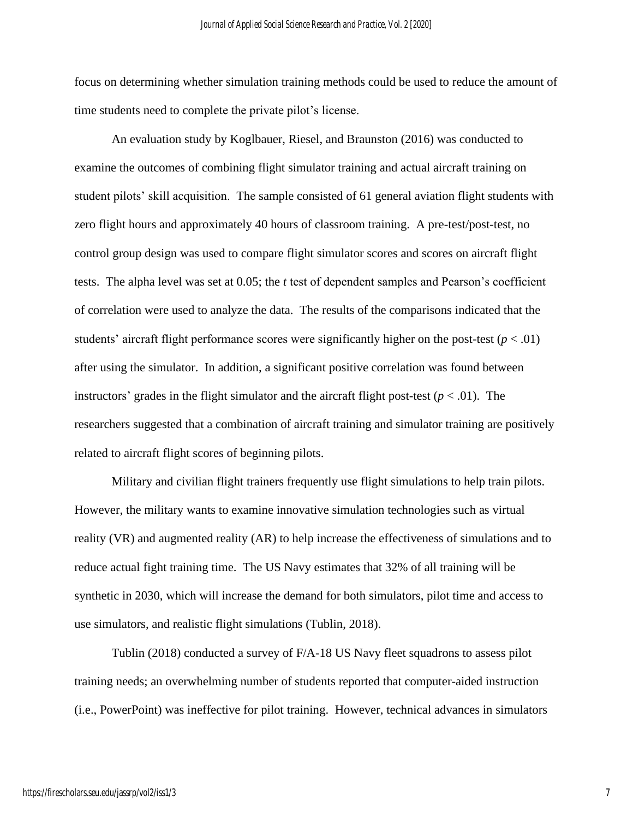focus on determining whether simulation training methods could be used to reduce the amount of time students need to complete the private pilot's license.

An evaluation study by Koglbauer, Riesel, and Braunston (2016) was conducted to examine the outcomes of combining flight simulator training and actual aircraft training on student pilots' skill acquisition. The sample consisted of 61 general aviation flight students with zero flight hours and approximately 40 hours of classroom training. A pre-test/post-test, no control group design was used to compare flight simulator scores and scores on aircraft flight tests. The alpha level was set at 0.05; the *t* test of dependent samples and Pearson's coefficient of correlation were used to analyze the data. The results of the comparisons indicated that the students' aircraft flight performance scores were significantly higher on the post-test  $(p < .01)$ after using the simulator. In addition, a significant positive correlation was found between instructors' grades in the flight simulator and the aircraft flight post-test  $(p < .01)$ . The researchers suggested that a combination of aircraft training and simulator training are positively related to aircraft flight scores of beginning pilots.

Military and civilian flight trainers frequently use flight simulations to help train pilots. However, the military wants to examine innovative simulation technologies such as virtual reality (VR) and augmented reality (AR) to help increase the effectiveness of simulations and to reduce actual fight training time. The US Navy estimates that 32% of all training will be synthetic in 2030, which will increase the demand for both simulators, pilot time and access to use simulators, and realistic flight simulations (Tublin, 2018).

Tublin (2018) conducted a survey of F/A-18 US Navy fleet squadrons to assess pilot training needs; an overwhelming number of students reported that computer-aided instruction (i.e., PowerPoint) was ineffective for pilot training. However, technical advances in simulators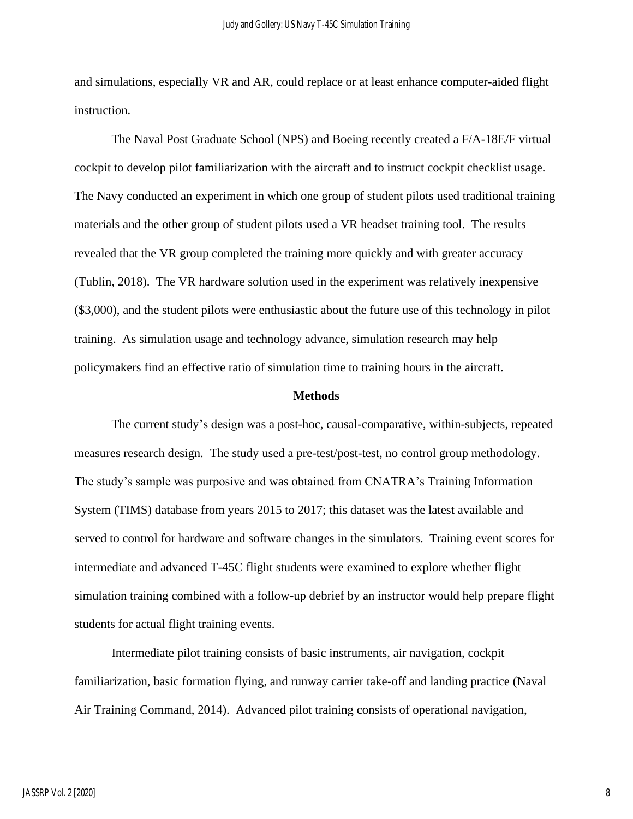and simulations, especially VR and AR, could replace or at least enhance computer-aided flight instruction.

The Naval Post Graduate School (NPS) and Boeing recently created a F/A-18E/F virtual cockpit to develop pilot familiarization with the aircraft and to instruct cockpit checklist usage. The Navy conducted an experiment in which one group of student pilots used traditional training materials and the other group of student pilots used a VR headset training tool. The results revealed that the VR group completed the training more quickly and with greater accuracy (Tublin, 2018). The VR hardware solution used in the experiment was relatively inexpensive (\$3,000), and the student pilots were enthusiastic about the future use of this technology in pilot training. As simulation usage and technology advance, simulation research may help policymakers find an effective ratio of simulation time to training hours in the aircraft.

#### **Methods**

The current study's design was a post-hoc, causal-comparative, within-subjects, repeated measures research design. The study used a pre-test/post-test, no control group methodology. The study's sample was purposive and was obtained from CNATRA's Training Information System (TIMS) database from years 2015 to 2017; this dataset was the latest available and served to control for hardware and software changes in the simulators. Training event scores for intermediate and advanced T-45C flight students were examined to explore whether flight simulation training combined with a follow-up debrief by an instructor would help prepare flight students for actual flight training events.

Intermediate pilot training consists of basic instruments, air navigation, cockpit familiarization, basic formation flying, and runway carrier take-off and landing practice (Naval Air Training Command, 2014). Advanced pilot training consists of operational navigation,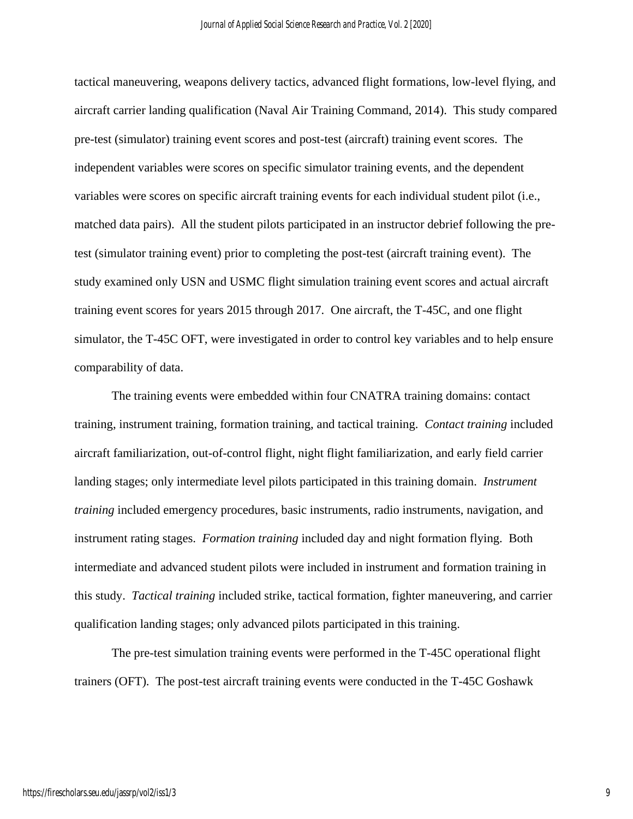tactical maneuvering, weapons delivery tactics, advanced flight formations, low-level flying, and aircraft carrier landing qualification (Naval Air Training Command, 2014). This study compared pre-test (simulator) training event scores and post-test (aircraft) training event scores. The independent variables were scores on specific simulator training events, and the dependent variables were scores on specific aircraft training events for each individual student pilot (i.e., matched data pairs). All the student pilots participated in an instructor debrief following the pretest (simulator training event) prior to completing the post-test (aircraft training event). The study examined only USN and USMC flight simulation training event scores and actual aircraft training event scores for years 2015 through 2017. One aircraft, the T-45C, and one flight simulator, the T-45C OFT, were investigated in order to control key variables and to help ensure comparability of data.

The training events were embedded within four CNATRA training domains: contact training, instrument training, formation training, and tactical training. *Contact training* included aircraft familiarization, out-of-control flight, night flight familiarization, and early field carrier landing stages; only intermediate level pilots participated in this training domain. *Instrument training* included emergency procedures, basic instruments, radio instruments, navigation, and instrument rating stages. *Formation training* included day and night formation flying. Both intermediate and advanced student pilots were included in instrument and formation training in this study. *Tactical training* included strike, tactical formation, fighter maneuvering, and carrier qualification landing stages; only advanced pilots participated in this training.

The pre-test simulation training events were performed in the T-45C operational flight trainers (OFT). The post-test aircraft training events were conducted in the T-45C Goshawk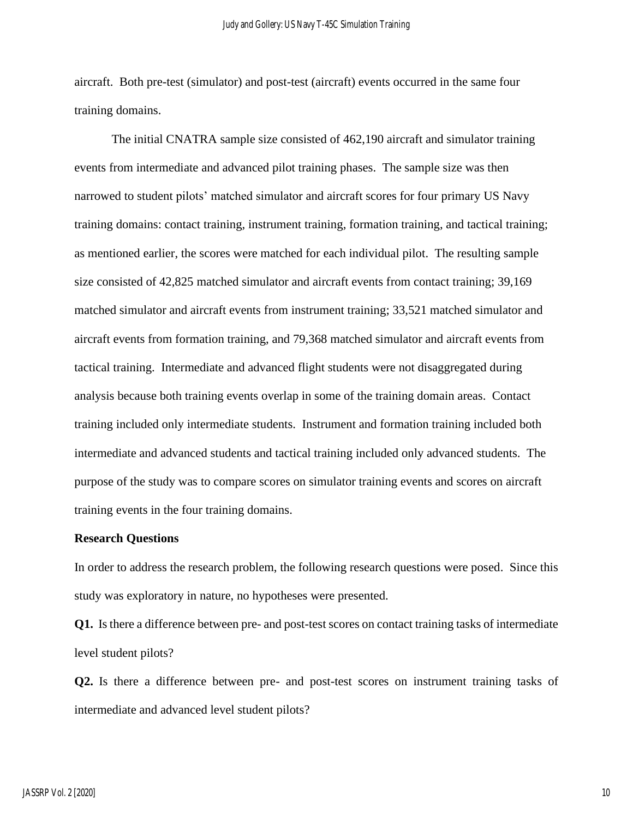aircraft. Both pre-test (simulator) and post-test (aircraft) events occurred in the same four training domains.

The initial CNATRA sample size consisted of 462,190 aircraft and simulator training events from intermediate and advanced pilot training phases. The sample size was then narrowed to student pilots' matched simulator and aircraft scores for four primary US Navy training domains: contact training, instrument training, formation training, and tactical training; as mentioned earlier, the scores were matched for each individual pilot. The resulting sample size consisted of 42,825 matched simulator and aircraft events from contact training; 39,169 matched simulator and aircraft events from instrument training; 33,521 matched simulator and aircraft events from formation training, and 79,368 matched simulator and aircraft events from tactical training. Intermediate and advanced flight students were not disaggregated during analysis because both training events overlap in some of the training domain areas. Contact training included only intermediate students. Instrument and formation training included both intermediate and advanced students and tactical training included only advanced students. The purpose of the study was to compare scores on simulator training events and scores on aircraft training events in the four training domains.

#### **Research Questions**

In order to address the research problem, the following research questions were posed. Since this study was exploratory in nature, no hypotheses were presented.

**Q1.** Is there a difference between pre- and post-test scores on contact training tasks of intermediate level student pilots?

**Q2.** Is there a difference between pre- and post-test scores on instrument training tasks of intermediate and advanced level student pilots?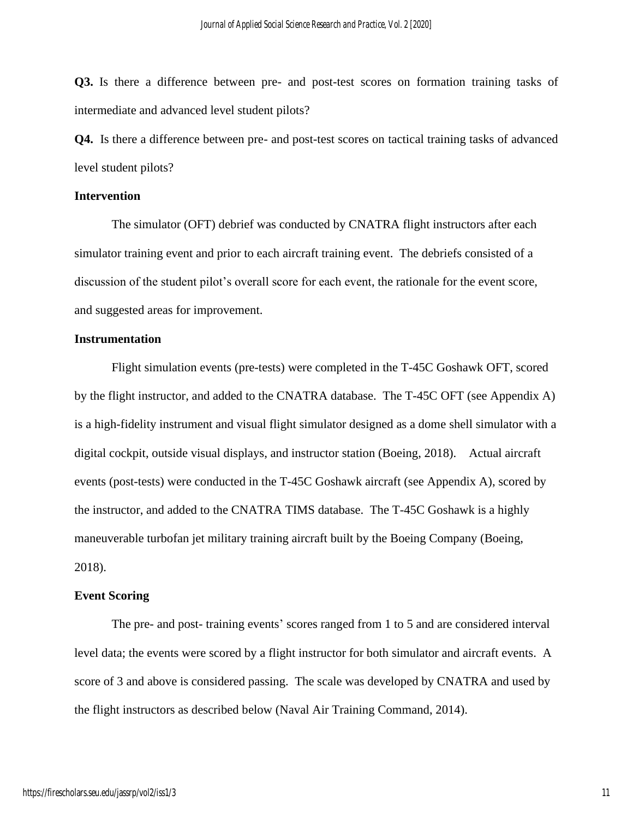**Q3.** Is there a difference between pre- and post-test scores on formation training tasks of intermediate and advanced level student pilots?

**Q4.** Is there a difference between pre- and post-test scores on tactical training tasks of advanced level student pilots?

#### **Intervention**

The simulator (OFT) debrief was conducted by CNATRA flight instructors after each simulator training event and prior to each aircraft training event. The debriefs consisted of a discussion of the student pilot's overall score for each event, the rationale for the event score, and suggested areas for improvement.

#### **Instrumentation**

Flight simulation events (pre-tests) were completed in the T-45C Goshawk OFT, scored by the flight instructor, and added to the CNATRA database. The T-45C OFT (see Appendix A) is a high-fidelity instrument and visual flight simulator designed as a dome shell simulator with a digital cockpit, outside visual displays, and instructor station (Boeing, 2018). Actual aircraft events (post-tests) were conducted in the T-45C Goshawk aircraft (see Appendix A), scored by the instructor, and added to the CNATRA TIMS database. The T-45C Goshawk is a highly maneuverable turbofan jet military training aircraft built by the Boeing Company (Boeing, 2018).

#### **Event Scoring**

The pre- and post- training events' scores ranged from 1 to 5 and are considered interval level data; the events were scored by a flight instructor for both simulator and aircraft events. A score of 3 and above is considered passing. The scale was developed by CNATRA and used by the flight instructors as described below (Naval Air Training Command, 2014).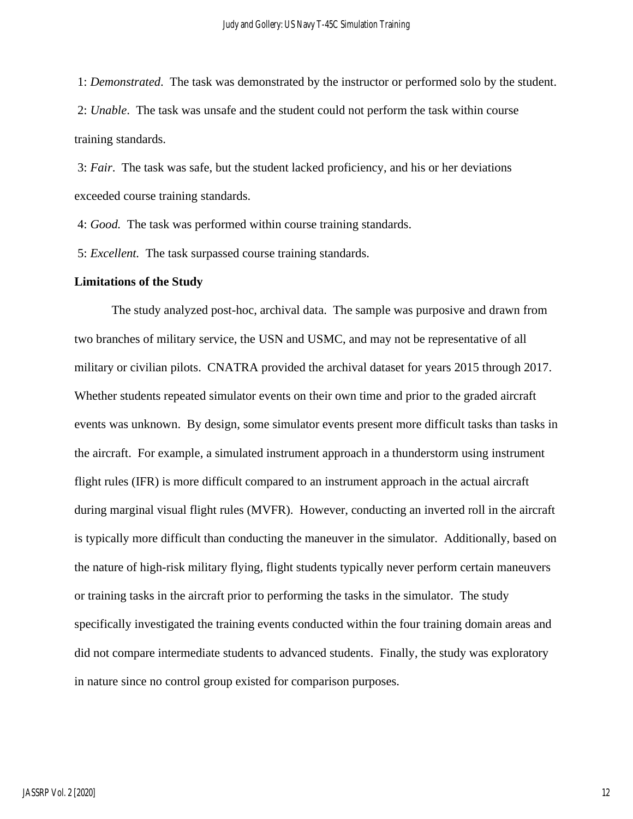1: *Demonstrated*. The task was demonstrated by the instructor or performed solo by the student. 2: *Unable*. The task was unsafe and the student could not perform the task within course training standards.

3: *Fair*. The task was safe, but the student lacked proficiency, and his or her deviations exceeded course training standards.

4: *Good.* The task was performed within course training standards.

5: *Excellent.* The task surpassed course training standards.

#### **Limitations of the Study**

The study analyzed post-hoc, archival data. The sample was purposive and drawn from two branches of military service, the USN and USMC, and may not be representative of all military or civilian pilots. CNATRA provided the archival dataset for years 2015 through 2017. Whether students repeated simulator events on their own time and prior to the graded aircraft events was unknown. By design, some simulator events present more difficult tasks than tasks in the aircraft. For example, a simulated instrument approach in a thunderstorm using instrument flight rules (IFR) is more difficult compared to an instrument approach in the actual aircraft during marginal visual flight rules (MVFR). However, conducting an inverted roll in the aircraft is typically more difficult than conducting the maneuver in the simulator. Additionally, based on the nature of high-risk military flying, flight students typically never perform certain maneuvers or training tasks in the aircraft prior to performing the tasks in the simulator. The study specifically investigated the training events conducted within the four training domain areas and did not compare intermediate students to advanced students. Finally, the study was exploratory in nature since no control group existed for comparison purposes.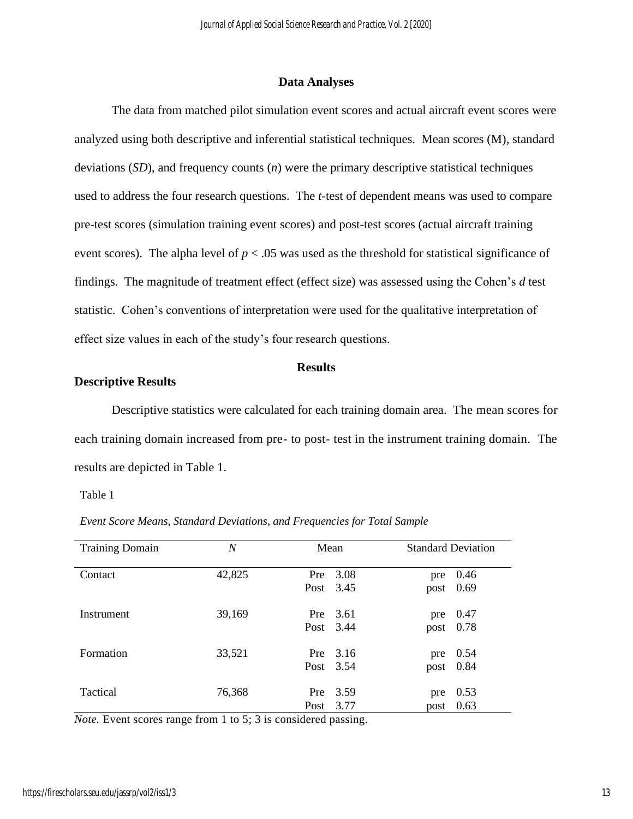#### **Data Analyses**

The data from matched pilot simulation event scores and actual aircraft event scores were analyzed using both descriptive and inferential statistical techniques. Mean scores (M), standard deviations (*SD*), and frequency counts (*n*) were the primary descriptive statistical techniques used to address the four research questions. The *t-*test of dependent means was used to compare pre-test scores (simulation training event scores) and post-test scores (actual aircraft training event scores). The alpha level of  $p < .05$  was used as the threshold for statistical significance of findings. The magnitude of treatment effect (effect size) was assessed using the Cohen's *d* test statistic. Cohen's conventions of interpretation were used for the qualitative interpretation of effect size values in each of the study's four research questions.

#### **Results**

#### **Descriptive Results**

Descriptive statistics were calculated for each training domain area. The mean scores for each training domain increased from pre- to post- test in the instrument training domain. The results are depicted in Table 1.

Table 1

| <b>Training Domain</b> | N      | Mean             |              |             | <b>Standard Deviation</b> |
|------------------------|--------|------------------|--------------|-------------|---------------------------|
| Contact                | 42,825 | Pre<br>Post 3.45 | 3.08         | pre<br>post | 0.46<br>0.69              |
| Instrument             | 39,169 | Pre<br>Post 3.44 | 3.61         | pre<br>post | 0.47<br>0.78              |
| Formation              | 33,521 | Pre<br>Post 3.54 | 3.16         | pre         | 0.54<br>post 0.84         |
| Tactical               | 76,368 | Pre<br>Post      | 3.59<br>3.77 | pre<br>post | 0.53<br>0.63              |

*Event Score Means, Standard Deviations, and Frequencies for Total Sample*

*Note.* Event scores range from 1 to 5; 3 is considered passing.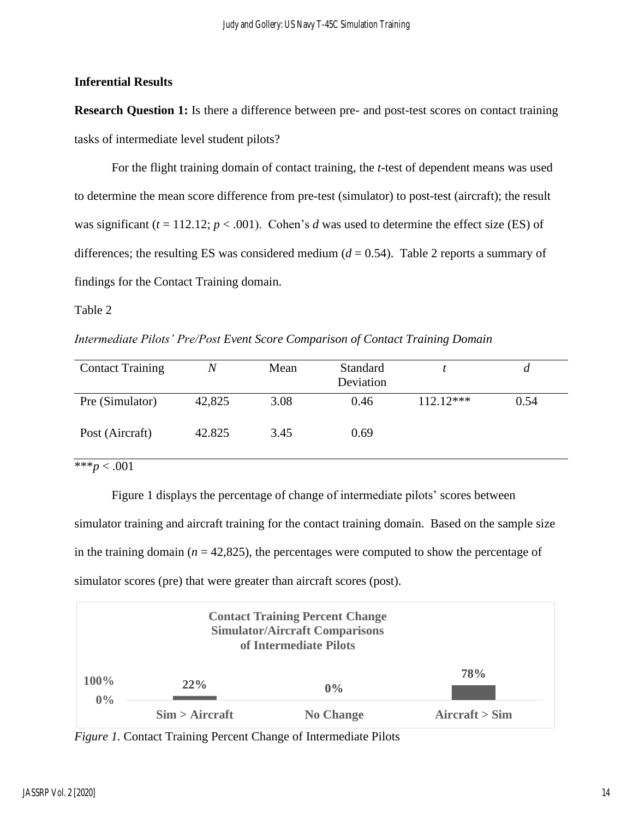## **Inferential Results**

**Research Question 1:** Is there a difference between pre- and post-test scores on contact training tasks of intermediate level student pilots?

For the flight training domain of contact training, the *t-*test of dependent means was used to determine the mean score difference from pre-test (simulator) to post-test (aircraft); the result was significant  $(t = 112.12; p < .001)$ . Cohen's *d* was used to determine the effect size (ES) of differences; the resulting ES was considered medium  $(d = 0.54)$ . Table 2 reports a summary of findings for the Contact Training domain.

Table 2

*Intermediate Pilots' Pre/Post Event Score Comparison of Contact Training Domain*

| <b>Contact Training</b> |        | Mean | Standard<br>Deviation |             | а    |
|-------------------------|--------|------|-----------------------|-------------|------|
| Pre (Simulator)         | 42,825 | 3.08 | 0.46                  | $112.12***$ | 0.54 |
| Post (Aircraft)         | 42.825 | 3.45 | 0.69                  |             |      |

 $***p < .001$ 

Figure 1 displays the percentage of change of intermediate pilots' scores between simulator training and aircraft training for the contact training domain. Based on the sample size in the training domain ( $n = 42,825$ ), the percentages were computed to show the percentage of simulator scores (pre) that were greater than aircraft scores (post).



*Figure 1.* Contact Training Percent Change of Intermediate Pilots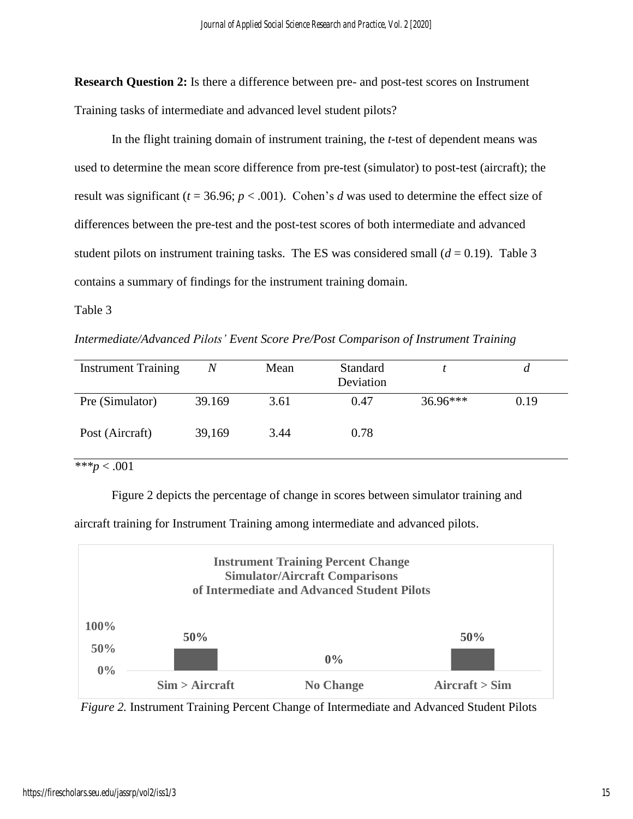**Research Question 2:** Is there a difference between pre- and post-test scores on Instrument Training tasks of intermediate and advanced level student pilots?

In the flight training domain of instrument training, the *t-*test of dependent means was used to determine the mean score difference from pre-test (simulator) to post-test (aircraft); the result was significant ( $t = 36.96$ ;  $p < .001$ ). Cohen's *d* was used to determine the effect size of differences between the pre-test and the post-test scores of both intermediate and advanced student pilots on instrument training tasks. The ES was considered small  $(d = 0.19)$ . Table 3 contains a summary of findings for the instrument training domain.

Table 3

*Intermediate/Advanced Pilots' Event Score Pre/Post Comparison of Instrument Training*

| <b>Instrument Training</b> | Ν      | Mean | Standard<br>Deviation |            |      |
|----------------------------|--------|------|-----------------------|------------|------|
| Pre (Simulator)            | 39.169 | 3.61 | 0.47                  | $36.96***$ | 0.19 |
| Post (Aircraft)            | 39,169 | 3.44 | 0.78                  |            |      |

*\*\*\*p* < .001

Figure 2 depicts the percentage of change in scores between simulator training and

aircraft training for Instrument Training among intermediate and advanced pilots.



 *Figure 2.* Instrument Training Percent Change of Intermediate and Advanced Student Pilots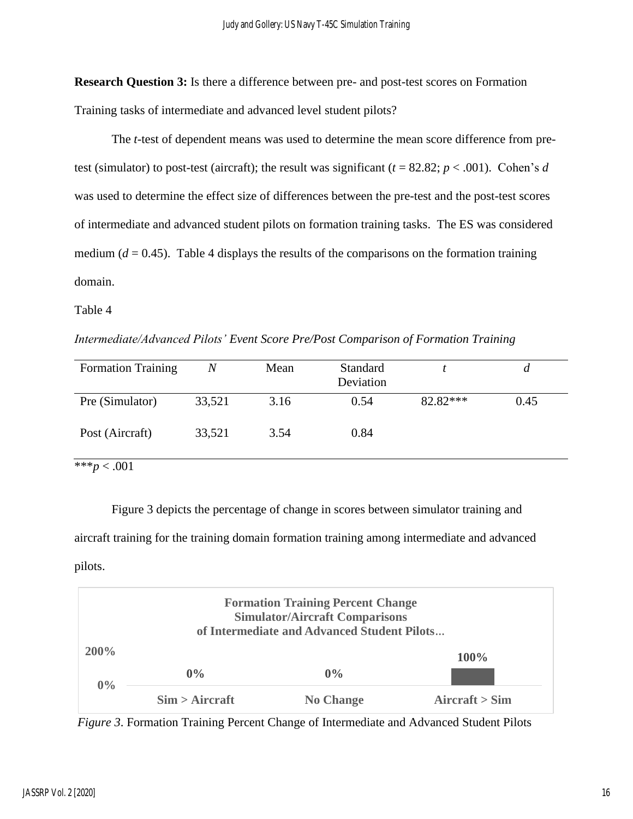**Research Question 3:** Is there a difference between pre- and post-test scores on Formation Training tasks of intermediate and advanced level student pilots?

The *t*-test of dependent means was used to determine the mean score difference from pretest (simulator) to post-test (aircraft); the result was significant ( $t = 82.82$ ;  $p < .001$ ). Cohen's *d* was used to determine the effect size of differences between the pre-test and the post-test scores of intermediate and advanced student pilots on formation training tasks. The ES was considered medium  $(d = 0.45)$ . Table 4 displays the results of the comparisons on the formation training domain.

Table 4

*Intermediate/Advanced Pilots' Event Score Pre/Post Comparison of Formation Training*

| <b>Formation Training</b> | $\,N$  | Mean | Standard<br>Deviation |          | a    |
|---------------------------|--------|------|-----------------------|----------|------|
| Pre (Simulator)           | 33,521 | 3.16 | 0.54                  | 82.82*** | 0.45 |
| Post (Aircraft)           | 33,521 | 3.54 | 0.84                  |          |      |
| *** $p < .001$            |        |      |                       |          |      |

Figure 3 depicts the percentage of change in scores between simulator training and aircraft training for the training domain formation training among intermediate and advanced pilots.



*Figure 3*. Formation Training Percent Change of Intermediate and Advanced Student Pilots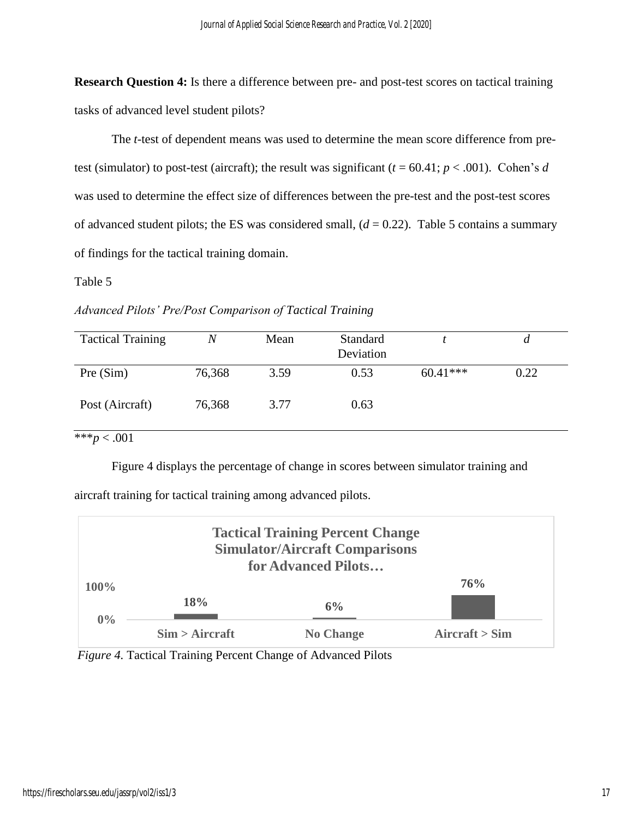**Research Question 4:** Is there a difference between pre- and post-test scores on tactical training tasks of advanced level student pilots?

The *t*-test of dependent means was used to determine the mean score difference from pretest (simulator) to post-test (aircraft); the result was significant  $(t = 60.41; p < .001)$ . Cohen's *d* was used to determine the effect size of differences between the pre-test and the post-test scores of advanced student pilots; the ES was considered small,  $(d = 0.22)$ . Table 5 contains a summary of findings for the tactical training domain.

### Table 5

*Advanced Pilots' Pre/Post Comparison of Tactical Training*

| <b>Tactical Training</b> | N      | Mean | Standard<br>Deviation |            |      |
|--------------------------|--------|------|-----------------------|------------|------|
| Pre(Sim)                 | 76,368 | 3.59 | 0.53                  | $60.41***$ | 0.22 |
| Post (Aircraft)          | 76,368 | 3.77 | 0.63                  |            |      |

\*\*\**p* < .001

Figure 4 displays the percentage of change in scores between simulator training and

aircraft training for tactical training among advanced pilots.

| <b>Tactical Training Percent Change</b><br><b>Simulator/Aircraft Comparisons</b><br>for Advanced Pilots |                |                  |                                 |  |  |
|---------------------------------------------------------------------------------------------------------|----------------|------------------|---------------------------------|--|--|
| 100%                                                                                                    |                |                  | 76%                             |  |  |
| $0\%$                                                                                                   | 18%            | 6%               |                                 |  |  |
|                                                                                                         | Sim > Aircraft | <b>No Change</b> | $A \text{ircraft} > \text{Sim}$ |  |  |

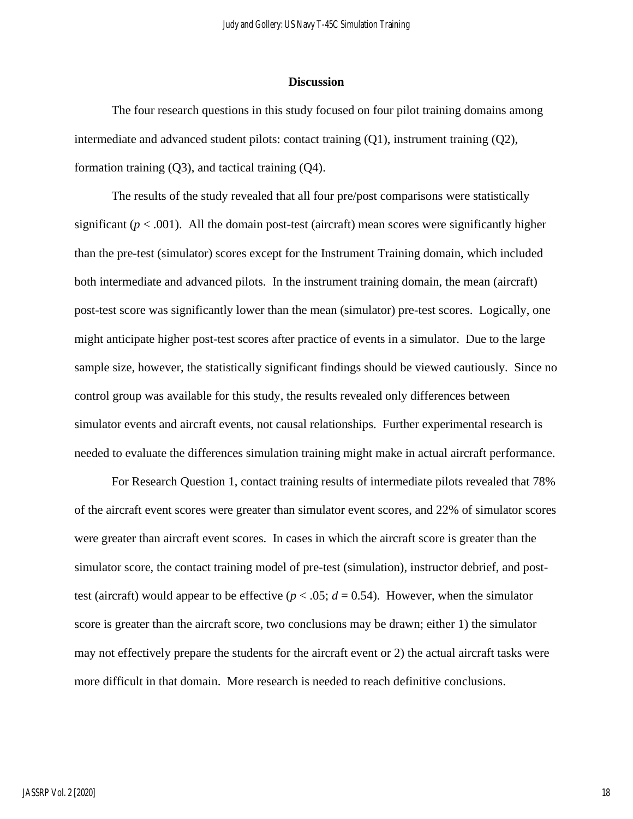#### **Discussion**

The four research questions in this study focused on four pilot training domains among intermediate and advanced student pilots: contact training (Q1), instrument training (Q2), formation training (Q3), and tactical training (Q4).

The results of the study revealed that all four pre/post comparisons were statistically significant  $(p < .001)$ . All the domain post-test (aircraft) mean scores were significantly higher than the pre-test (simulator) scores except for the Instrument Training domain, which included both intermediate and advanced pilots. In the instrument training domain, the mean (aircraft) post-test score was significantly lower than the mean (simulator) pre-test scores. Logically, one might anticipate higher post-test scores after practice of events in a simulator. Due to the large sample size, however, the statistically significant findings should be viewed cautiously. Since no control group was available for this study, the results revealed only differences between simulator events and aircraft events, not causal relationships. Further experimental research is needed to evaluate the differences simulation training might make in actual aircraft performance.

For Research Question 1, contact training results of intermediate pilots revealed that 78% of the aircraft event scores were greater than simulator event scores, and 22% of simulator scores were greater than aircraft event scores. In cases in which the aircraft score is greater than the simulator score, the contact training model of pre-test (simulation), instructor debrief, and posttest (aircraft) would appear to be effective  $(p < .05; d = 0.54)$ . However, when the simulator score is greater than the aircraft score, two conclusions may be drawn; either 1) the simulator may not effectively prepare the students for the aircraft event or 2) the actual aircraft tasks were more difficult in that domain. More research is needed to reach definitive conclusions.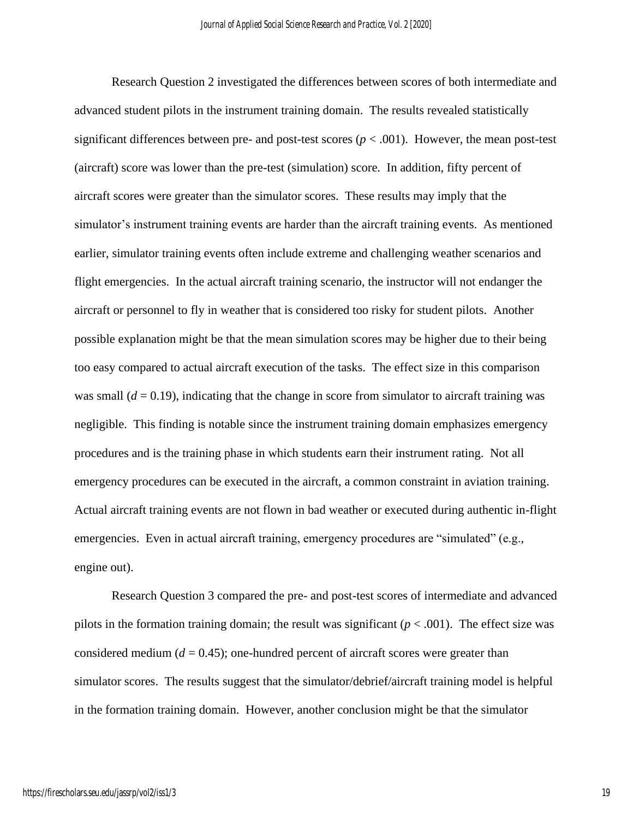Research Question 2 investigated the differences between scores of both intermediate and advanced student pilots in the instrument training domain. The results revealed statistically significant differences between pre- and post-test scores  $(p < .001)$ . However, the mean post-test (aircraft) score was lower than the pre-test (simulation) score. In addition, fifty percent of aircraft scores were greater than the simulator scores. These results may imply that the simulator's instrument training events are harder than the aircraft training events. As mentioned earlier, simulator training events often include extreme and challenging weather scenarios and flight emergencies. In the actual aircraft training scenario, the instructor will not endanger the aircraft or personnel to fly in weather that is considered too risky for student pilots. Another possible explanation might be that the mean simulation scores may be higher due to their being too easy compared to actual aircraft execution of the tasks. The effect size in this comparison was small  $(d = 0.19)$ , indicating that the change in score from simulator to aircraft training was negligible. This finding is notable since the instrument training domain emphasizes emergency procedures and is the training phase in which students earn their instrument rating. Not all emergency procedures can be executed in the aircraft, a common constraint in aviation training. Actual aircraft training events are not flown in bad weather or executed during authentic in-flight emergencies. Even in actual aircraft training, emergency procedures are "simulated" (e.g., engine out).

Research Question 3 compared the pre- and post-test scores of intermediate and advanced pilots in the formation training domain; the result was significant  $(p < .001)$ . The effect size was considered medium  $(d = 0.45)$ ; one-hundred percent of aircraft scores were greater than simulator scores. The results suggest that the simulator/debrief/aircraft training model is helpful in the formation training domain. However, another conclusion might be that the simulator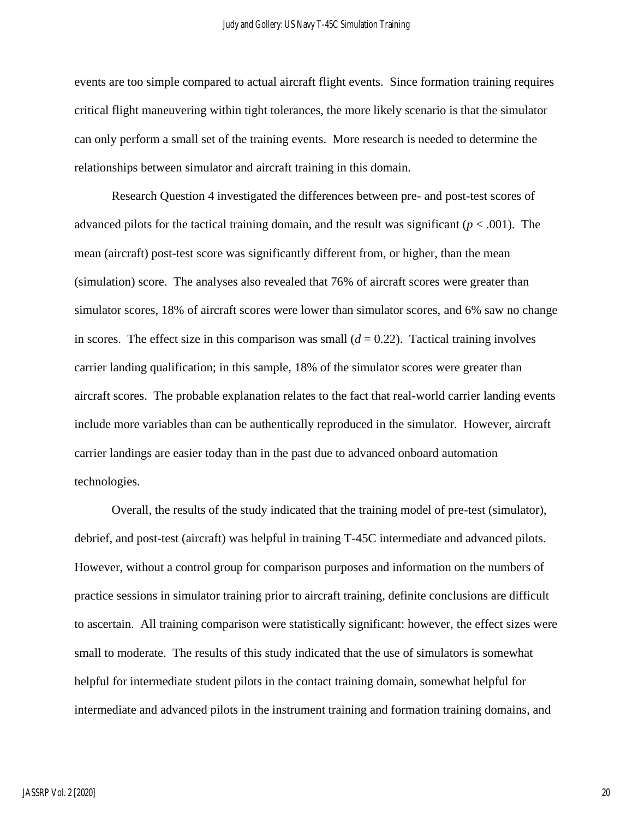events are too simple compared to actual aircraft flight events. Since formation training requires critical flight maneuvering within tight tolerances, the more likely scenario is that the simulator can only perform a small set of the training events. More research is needed to determine the relationships between simulator and aircraft training in this domain.

Research Question 4 investigated the differences between pre- and post-test scores of advanced pilots for the tactical training domain, and the result was significant  $(p < .001)$ . The mean (aircraft) post-test score was significantly different from, or higher, than the mean (simulation) score. The analyses also revealed that 76% of aircraft scores were greater than simulator scores, 18% of aircraft scores were lower than simulator scores, and 6% saw no change in scores. The effect size in this comparison was small  $(d = 0.22)$ . Tactical training involves carrier landing qualification; in this sample, 18% of the simulator scores were greater than aircraft scores. The probable explanation relates to the fact that real-world carrier landing events include more variables than can be authentically reproduced in the simulator. However, aircraft carrier landings are easier today than in the past due to advanced onboard automation technologies.

Overall, the results of the study indicated that the training model of pre-test (simulator), debrief, and post-test (aircraft) was helpful in training T-45C intermediate and advanced pilots. However, without a control group for comparison purposes and information on the numbers of practice sessions in simulator training prior to aircraft training, definite conclusions are difficult to ascertain. All training comparison were statistically significant: however, the effect sizes were small to moderate. The results of this study indicated that the use of simulators is somewhat helpful for intermediate student pilots in the contact training domain, somewhat helpful for intermediate and advanced pilots in the instrument training and formation training domains, and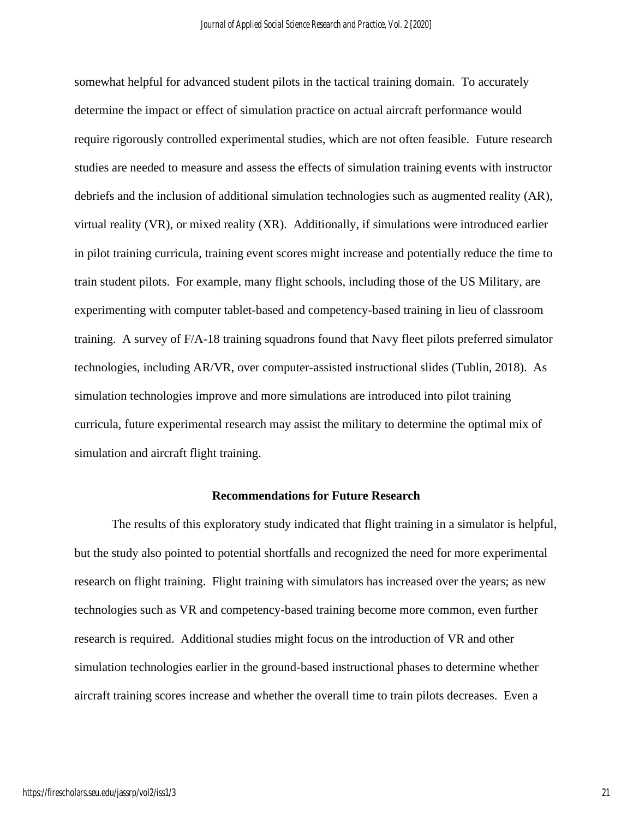somewhat helpful for advanced student pilots in the tactical training domain. To accurately determine the impact or effect of simulation practice on actual aircraft performance would require rigorously controlled experimental studies, which are not often feasible. Future research studies are needed to measure and assess the effects of simulation training events with instructor debriefs and the inclusion of additional simulation technologies such as augmented reality (AR), virtual reality (VR), or mixed reality (XR). Additionally, if simulations were introduced earlier in pilot training curricula, training event scores might increase and potentially reduce the time to train student pilots. For example, many flight schools, including those of the US Military, are experimenting with computer tablet-based and competency-based training in lieu of classroom training. A survey of F/A-18 training squadrons found that Navy fleet pilots preferred simulator technologies, including AR/VR, over computer-assisted instructional slides (Tublin, 2018). As simulation technologies improve and more simulations are introduced into pilot training curricula, future experimental research may assist the military to determine the optimal mix of simulation and aircraft flight training.

#### **Recommendations for Future Research**

The results of this exploratory study indicated that flight training in a simulator is helpful, but the study also pointed to potential shortfalls and recognized the need for more experimental research on flight training. Flight training with simulators has increased over the years; as new technologies such as VR and competency-based training become more common, even further research is required. Additional studies might focus on the introduction of VR and other simulation technologies earlier in the ground-based instructional phases to determine whether aircraft training scores increase and whether the overall time to train pilots decreases. Even a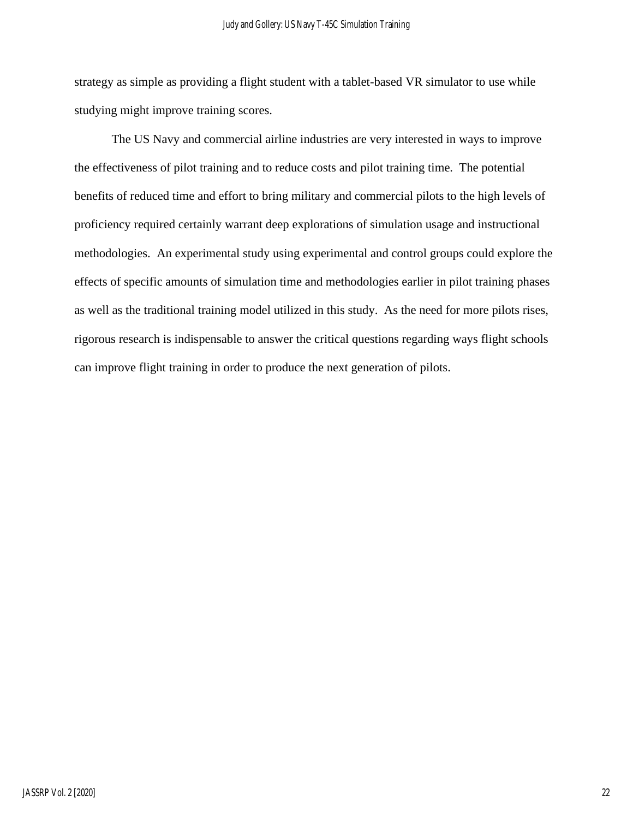strategy as simple as providing a flight student with a tablet-based VR simulator to use while studying might improve training scores.

The US Navy and commercial airline industries are very interested in ways to improve the effectiveness of pilot training and to reduce costs and pilot training time. The potential benefits of reduced time and effort to bring military and commercial pilots to the high levels of proficiency required certainly warrant deep explorations of simulation usage and instructional methodologies. An experimental study using experimental and control groups could explore the effects of specific amounts of simulation time and methodologies earlier in pilot training phases as well as the traditional training model utilized in this study. As the need for more pilots rises, rigorous research is indispensable to answer the critical questions regarding ways flight schools can improve flight training in order to produce the next generation of pilots.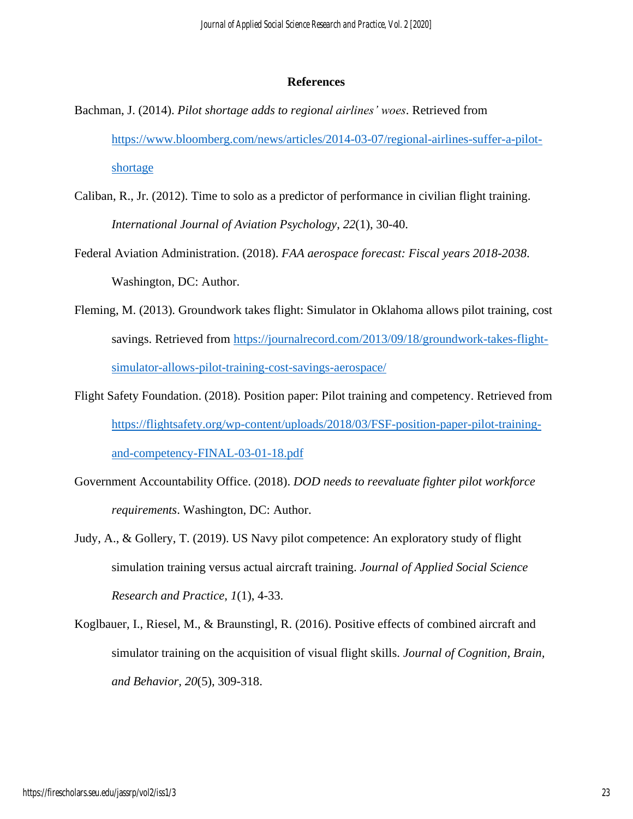#### **References**

- Bachman, J. (2014). *Pilot shortage adds to regional airlines' woes*. Retrieved from [https://www.bloomberg.com/news/articles/2014-03-07/regional-airlines-suffer-a-pilot](https://www.bloomberg.com/news/articles/2014-03-07/regional-airlines-suffer-a-pilot-shortage)[shortage](https://www.bloomberg.com/news/articles/2014-03-07/regional-airlines-suffer-a-pilot-shortage)
- Caliban, R., Jr. (2012). Time to solo as a predictor of performance in civilian flight training. *International Journal of Aviation Psychology*, *22*(1), 30-40.
- Federal Aviation Administration. (2018). *FAA aerospace forecast: Fiscal years 2018-2038*. Washington, DC: Author.
- Fleming, M. (2013). Groundwork takes flight: Simulator in Oklahoma allows pilot training, cost savings. Retrieved from [https://journalrecord.com/2013/09/18/groundwork-takes-flight](https://journalrecord.com/2013/09/18/groundwork-takes-flight-simulator-allows-pilot-training-cost-savings-aerospace/)[simulator-allows-pilot-training-cost-savings-aerospace/](https://journalrecord.com/2013/09/18/groundwork-takes-flight-simulator-allows-pilot-training-cost-savings-aerospace/)
- Flight Safety Foundation. (2018). Position paper: Pilot training and competency. Retrieved from [https://flightsafety.org/wp-content/uploads/2018/03/FSF-position-paper-pilot-training](https://flightsafety.org/wp-content/uploads/2018/03/FSF-position-paper-pilot-training-and-competency-FINAL-03-01-18.pdf)[and-competency-FINAL-03-01-18.pdf](https://flightsafety.org/wp-content/uploads/2018/03/FSF-position-paper-pilot-training-and-competency-FINAL-03-01-18.pdf)
- Government Accountability Office. (2018). *DOD needs to reevaluate fighter pilot workforce requirements*. Washington, DC: Author.
- Judy, A., & Gollery, T. (2019). US Navy pilot competence: An exploratory study of flight simulation training versus actual aircraft training. *Journal of Applied Social Science Research and Practice*, *1*(1), 4-33.
- Koglbauer, I., Riesel, M., & Braunstingl, R. (2016). Positive effects of combined aircraft and simulator training on the acquisition of visual flight skills. *Journal of Cognition, Brain, and Behavior, 20*(5), 309-318.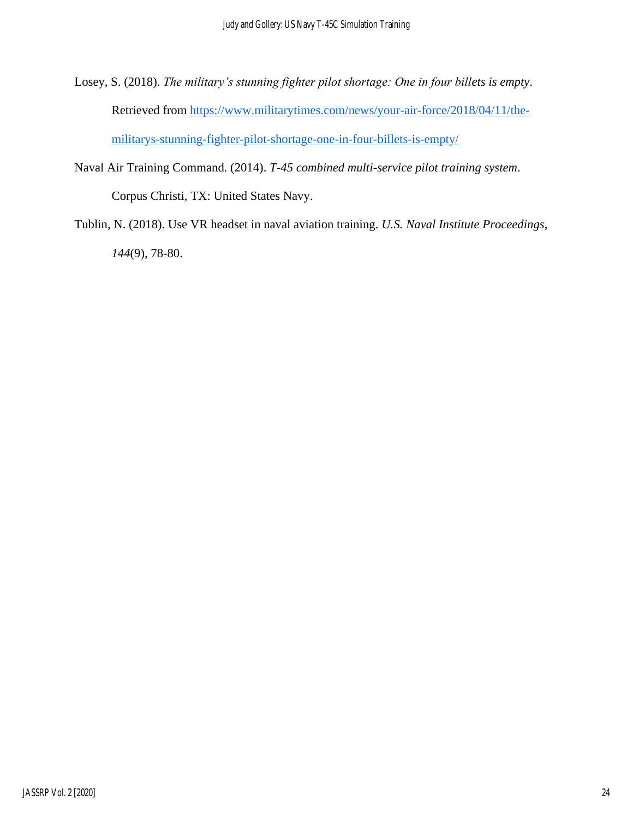- Losey, S. (2018). *The military's stunning fighter pilot shortage: One in four billets is empty*. Retrieved from [https://www.militarytimes.com/news/your-air-force/2018/04/11/the](https://www.militarytimes.com/news/your-air-force/2018/04/11/the-militarys-stunning-fighter-pilot-shortage-one-in-four-billets-is-empty/)[militarys-stunning-fighter-pilot-shortage-one-in-four-billets-is-empty/](https://www.militarytimes.com/news/your-air-force/2018/04/11/the-militarys-stunning-fighter-pilot-shortage-one-in-four-billets-is-empty/)
- Naval Air Training Command. (2014). *T-45 combined multi-service pilot training system*. Corpus Christi, TX: United States Navy.
- Tublin, N. (2018). Use VR headset in naval aviation training. *U.S. Naval Institute Proceedings*, *144*(9), 78-80.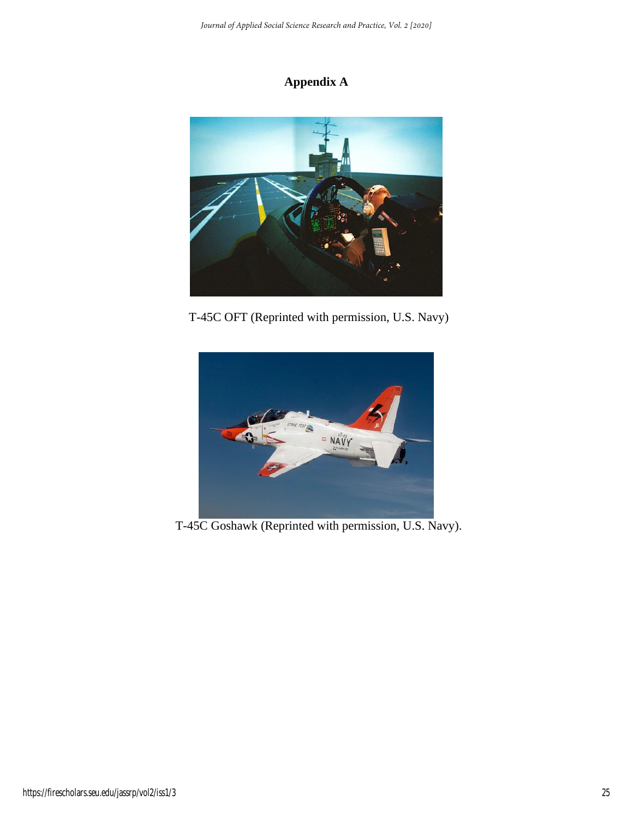# **Appendix A**



T-45C OFT (Reprinted with permission, U.S. Navy)



T-45C Goshawk (Reprinted with permission, U.S. Navy).